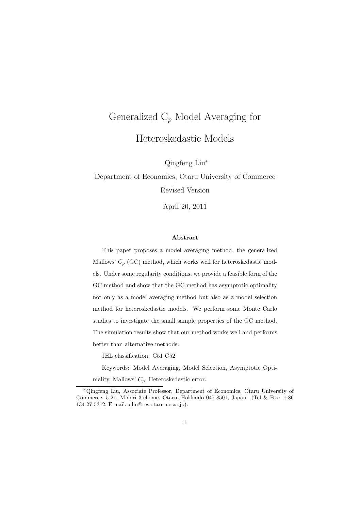# Generalized C*<sup>p</sup>* Model Averaging for Heteroskedastic Models

Qingfeng Liu*<sup>∗</sup>*

Department of Economics, Otaru University of Commerce Revised Version

April 20, 2011

#### **Abstract**

This paper proposes a model averaging method, the generalized Mallows'  $C_p$  (GC) method, which works well for heteroskedastic models. Under some regularity conditions, we provide a feasible form of the GC method and show that the GC method has asymptotic optimality not only as a model averaging method but also as a model selection method for heteroskedastic models. We perform some Monte Carlo studies to investigate the small sample properties of the GC method. The simulation results show that our method works well and performs better than alternative methods.

JEL classification: C51 C52

Keywords: Model Averaging, Model Selection, Asymptotic Opti-

mality, Mallows' *Cp*, Heteroskedastic error.

*<sup>∗</sup>*Qingfeng Liu, Associate Professor, Department of Economics, Otaru University of Commerce, 5-21, Midori 3-chome, Otaru, Hokkaido 047-8501, Japan. (Tel & Fax: +86 134 27 5312, E-mail: qliu@res.otaru-uc.ac.jp).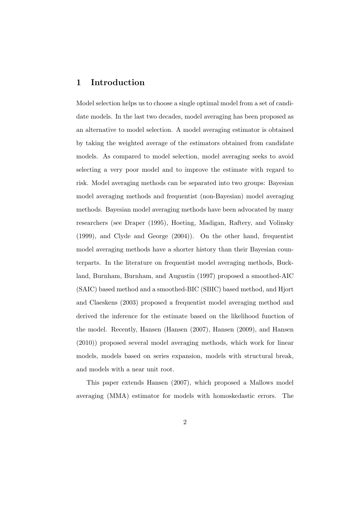#### **1 Introduction**

Model selection helps us to choose a single optimal model from a set of candidate models. In the last two decades, model averaging has been proposed as an alternative to model selection. A model averaging estimator is obtained by taking the weighted average of the estimators obtained from candidate models. As compared to model selection, model averaging seeks to avoid selecting a very poor model and to improve the estimate with regard to risk. Model averaging methods can be separated into two groups: Bayesian model averaging methods and frequentist (non-Bayesian) model averaging methods. Bayesian model averaging methods have been advocated by many researchers (see Draper (1995), Hoeting, Madigan, Raftery, and Volinsky (1999), and Clyde and George (2004)). On the other hand, frequentist model averaging methods have a shorter history than their Bayesian counterparts. In the literature on frequentist model averaging methods, Buckland, Burnham, Burnham, and Augustin (1997) proposed a smoothed-AIC (SAIC) based method and a smoothed-BIC (SBIC) based method, and Hjort and Claeskens (2003) proposed a frequentist model averaging method and derived the inference for the estimate based on the likelihood function of the model. Recently, Hansen (Hansen (2007), Hansen (2009), and Hansen (2010)) proposed several model averaging methods, which work for linear models, models based on series expansion, models with structural break, and models with a near unit root.

This paper extends Hansen (2007), which proposed a Mallows model averaging (MMA) estimator for models with homoskedastic errors. The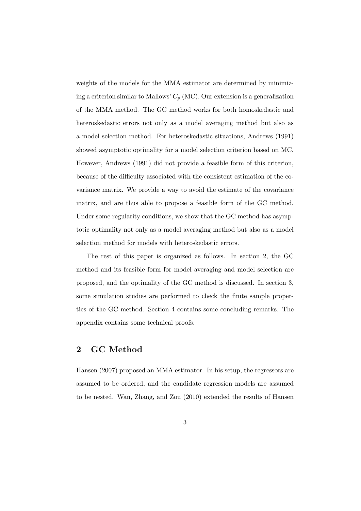weights of the models for the MMA estimator are determined by minimizing a criterion similar to Mallows'  $C_p$  (MC). Our extension is a generalization of the MMA method. The GC method works for both homoskedastic and heteroskedastic errors not only as a model averaging method but also as a model selection method. For heteroskedastic situations, Andrews (1991) showed asymptotic optimality for a model selection criterion based on MC. However, Andrews (1991) did not provide a feasible form of this criterion, because of the difficulty associated with the consistent estimation of the covariance matrix. We provide a way to avoid the estimate of the covariance matrix, and are thus able to propose a feasible form of the GC method. Under some regularity conditions, we show that the GC method has asymptotic optimality not only as a model averaging method but also as a model selection method for models with heteroskedastic errors.

The rest of this paper is organized as follows. In section 2, the GC method and its feasible form for model averaging and model selection are proposed, and the optimality of the GC method is discussed. In section 3, some simulation studies are performed to check the finite sample properties of the GC method. Section 4 contains some concluding remarks. The appendix contains some technical proofs.

### **2 GC Method**

Hansen (2007) proposed an MMA estimator. In his setup, the regressors are assumed to be ordered, and the candidate regression models are assumed to be nested. Wan, Zhang, and Zou (2010) extended the results of Hansen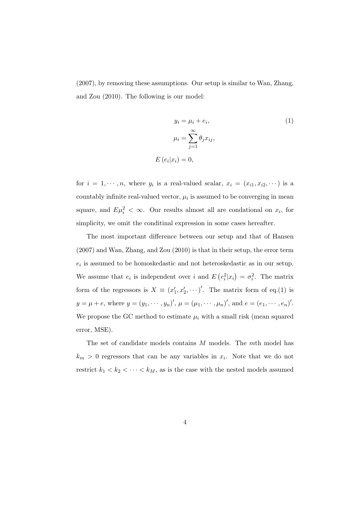(2007), by removing these assumptions. Our setup is similar to Wan, Zhang, and Zou (2010). The following is our model:

$$
y_i = \mu_i + e_i,
$$
  
\n
$$
\mu_i = \sum_{j=1}^{\infty} \theta_j x_{ij},
$$
  
\n
$$
E(e_i|x_i) = 0,
$$
\n(1)

for  $i = 1, \dots, n$ , where  $y_i$  is a real-valued scalar,  $x_i = (x_{i1}, x_{i2}, \dots)$  is a  $\alpha$  countably infinite real-valued vector,  $\mu_i$  is assumed to be converging in mean square, and  $E\mu_i^2 < \infty$ . Our results almost all are condational on  $x_i$ , for simplicity, we omit the conditinal expression in some cases hereafter.

The most important difference between our setup and that of Hansen (2007) and Wan, Zhang, and Zou (2010) is that in their setup, the error term *ei* is assumed to be homoskedastic and not heteroskedastic as in our setup. We assume that  $e_i$  is independent over *i* and  $E(e_i^2|x_i) = \sigma_i^2$ . The matrix form of the regressors is  $X \equiv (x'_1, x'_2, \cdots)'$ . The matrix form of eq.(1) is  $y = \mu + e$ , where  $y = (y_1, \dots, y_n)'$ ,  $\mu = (\mu_1, \dots, \mu_n)'$ , and  $e = (e_1, \dots, e_n)'$ . We propose the GC method to estimate  $\mu_i$  with a small risk (mean squared error, MSE).

The set of candidate models contains *M* models. The *m*th model has  $k_m > 0$  regressors that can be any variables in  $x_i$ . Note that we do not restrict  $k_1 < k_2 < \cdots < k_M$ , as is the case with the nested models assumed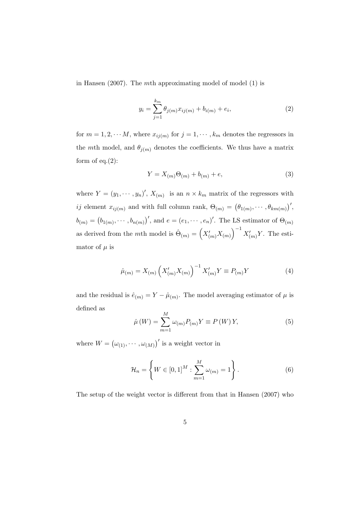in Hansen (2007). The *m*th approximating model of model (1) is

$$
y_i = \sum_{j=1}^{k_m} \theta_{j(m)} x_{ij(m)} + b_{i(m)} + e_i,
$$
\n(2)

for  $m = 1, 2, \cdots M$ , where  $x_{ij(m)}$  for  $j = 1, \cdots, k_m$  denotes the regressors in the *m*th model, and  $\theta_{j(m)}$  denotes the coefficients. We thus have a matrix form of eq. $(2)$ :

$$
Y = X_{(m)}\Theta_{(m)} + b_{(m)} + e,\t\t(3)
$$

where  $Y = (y_1, \dots, y_n)'$ ,  $X_{(m)}$  is an  $n \times k_m$  matrix of the regressors with *ij* element  $x_{ij(m)}$  and with full column rank,  $\Theta_{(m)} = (\theta_{1(m)}, \cdots, \theta_{km(m)})'$ ,  $b_{(m)} = (b_{1(m)}, \cdots, b_{n(m)})'$ , and  $e = (e_1, \cdots, e_n)'$ . The LS estimator of  $\Theta_{(m)}$ as derived from the *m*th model is  $\hat{\Theta}_{(m)} = \left(X'_{(m)}X_{(m)}\right)^{-1}X'_{(m)}Y$ . The estimator of  $\mu$  is

$$
\hat{\mu}_{(m)} = X_{(m)} \left( X'_{(m)} X_{(m)} \right)^{-1} X'_{(m)} Y \equiv P_{(m)} Y \tag{4}
$$

and the residual is  $\hat{e}_{(m)} = Y - \hat{\mu}_{(m)}$ . The model averaging estimator of  $\mu$  is defined as *M*

$$
\hat{\mu}(W) = \sum_{m=1}^{M} \omega_{(m)} P_{(m)} Y \equiv P(W) Y, \qquad (5)
$$

where  $W = (\omega_{(1)}, \cdots, \omega_{(M)})'$  is a weight vector in

$$
\mathcal{H}_n = \left\{ W \in [0,1]^M : \sum_{m=1}^M \omega_{(m)} = 1 \right\}.
$$
 (6)

The setup of the weight vector is different from that in Hansen (2007) who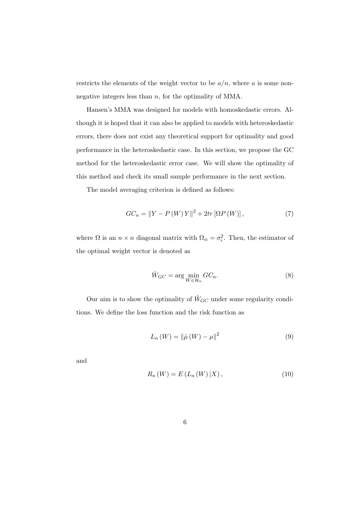restricts the elements of the weight vector to be  $a/n$ , where  $a$  is some nonnegative integers less than *n*, for the optimality of MMA.

Hansen's MMA was designed for models with homoskedastic errors. Although it is hoped that it can also be applied to models with heteroskedastic errors, there does not exist any theoretical support for optimality and good performance in the heteroskedastic case. In this section, we propose the GC method for the heteroskedastic error case. We will show the optimality of this method and check its small sample performance in the next section.

The model averaging criterion is defined as follows:

$$
GC_n = ||Y - P(W)Y||^2 + 2tr[\Omega P(W)], \qquad (7)
$$

where  $\Omega$  is an  $n \times n$  diagonal matrix with  $\Omega_{ii} = \sigma_i^2$ . Then, the estimator of the optimal weight vector is denoted as

$$
\hat{W}_{GC} = \arg\min_{W \in \mathcal{H}_n} GC_n.
$$
\n(8)

Our aim is to show the optimality of  $\hat{W}_{GC}$  under some regularity conditions. We define the loss function and the risk function as

$$
L_n\left(W\right) = \left\|\hat{\mu}\left(W\right) - \mu\right\|^2\tag{9}
$$

and

$$
R_n(W) = E(L_n(W) | X), \t\t(10)
$$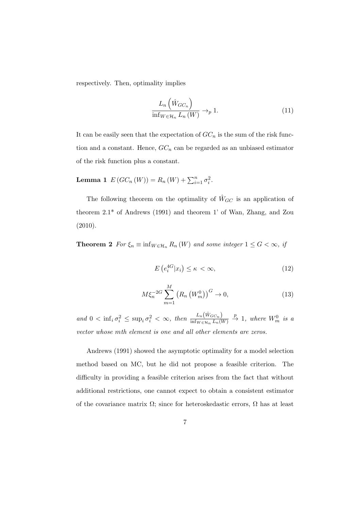respectively. Then, optimality implies

$$
\frac{L_n\left(\hat{W}_{GC_n}\right)}{\inf_{W\in\mathcal{H}_n} L_n\left(W\right)} \to_p 1. \tag{11}
$$

It can be easily seen that the expectation of  $GC_n$  is the sum of the risk function and a constant. Hence,  $GC_n$  can be regarded as an unbiased estimator of the risk function plus a constant.

**Lemma 1**  $E(GC_n(W)) = R_n(W) + \sum_{i=1}^n \sigma_i^2$ .

The following theorem on the optimality of  $\hat{W}_{GC}$  is an application of theorem 2.1\* of Andrews (1991) and theorem 1' of Wan, Zhang, and Zou (2010).

**Theorem 2** *For*  $\xi_n \equiv \inf_{W \in \mathcal{H}_n} R_n(W)$  *and some integer*  $1 \leq G < \infty$ *, if* 

$$
E\left(e_i^{4G}|x_i\right) \le \kappa < \infty,\tag{12}
$$

$$
M\xi_n^{-2G} \sum_{m=1}^{M} (R_n (W_m^0))^G \to 0,
$$
 (13)

and  $0 < \inf_i \sigma_i^2 \le \sup_i \sigma_i^2 < \infty$ , then  $\frac{L_n(\hat{W}_{GC_n})}{\inf_{W \in \mathcal{H}_n} L_n(W)} \stackrel{p}{\to} 1$ , where  $W_m^0$  is a *vector whose mth element is one and all other elements are zeros.*

Andrews (1991) showed the asymptotic optimality for a model selection method based on MC, but he did not propose a feasible criterion. The difficulty in providing a feasible criterion arises from the fact that without additional restrictions, one cannot expect to obtain a consistent estimator of the covariance matrix  $\Omega$ ; since for heteroskedastic errors,  $\Omega$  has at least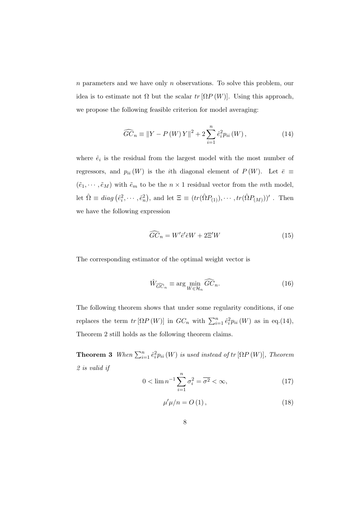*n* parameters and we have only *n* observations. To solve this problem, our idea is to estimate not  $\Omega$  but the scalar  $tr[\Omega P(W)]$ . Using this approach, we propose the following feasible criterion for model averaging:

$$
\widehat{GC}_n \equiv \|Y - P(W)Y\|^2 + 2\sum_{i=1}^n \hat{e}_i^2 p_{ii}(W), \qquad (14)
$$

where  $\hat{e}_i$  is the residual from the largest model with the most number of regressors, and  $p_{ii} (W)$  is the *i*th diagonal element of  $P (W)$ . Let  $\bar{e} \equiv$  $(\tilde{e}_1, \dots, \tilde{e}_M)$  with  $\tilde{e}_m$  to be the  $n \times 1$  residual vector from the *m*th model, let  $\hat{\Omega} \equiv diag(\hat{e}_i^2, \dots, \hat{e}_n^2)$ , and let  $\Xi \equiv (tr(\hat{\Omega}P_{(1)}), \dots, tr(\hat{\Omega}P_{(M)}))'$ . Then we have the following expression

$$
\widehat{GC}_n = W'\bar{e}'\bar{e}W + 2\Xi'W\tag{15}
$$

The corresponding estimator of the optimal weight vector is

$$
\hat{W}_{\widehat{GC}_n} \equiv \arg\min_{W \in \mathcal{H}_n} \widehat{GC}_n.
$$
\n(16)

The following theorem shows that under some regularity conditions, if one replaces the term  $tr\left[\Omega P(W)\right]$  in  $GC_n$  with  $\sum_{i=1}^n \hat{e}_i^2 p_{ii}(W)$  as in eq.(14), Theorem 2 still holds as the following theorem claims.

**Theorem 3** *When*  $\sum_{i=1}^{n} \hat{e}_i^2 p_{ii}(W)$  *is used instead of tr*  $[\Omega P(W)]$ *, Theorem 2 is valid if*

$$
0 < \lim_{n \to \infty} n^{-1} \sum_{i=1}^{n} \sigma_i^2 = \overline{\sigma^2} < \infty,\tag{17}
$$

$$
\mu'\mu/n = O\left(1\right),\tag{18}
$$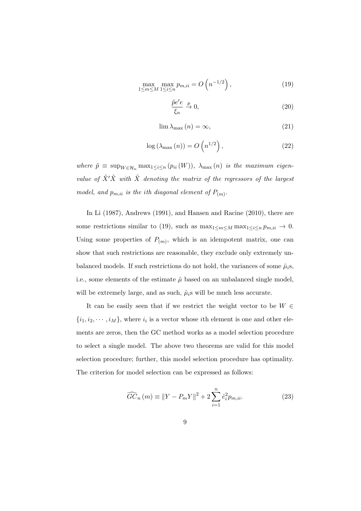$$
\max_{1 \le m \le M} \max_{1 \le i \le n} p_{m,ii} = O\left(n^{-1/2}\right),\tag{19}
$$

$$
\frac{\tilde{p}e'e}{\xi_n} \xrightarrow{p} 0,\tag{20}
$$

$$
\lim_{n \to \infty} \lambda_{\max}(n) = \infty,\tag{21}
$$

$$
\log\left(\lambda_{\max}\left(n\right)\right) = O\left(n^{1/2}\right),\tag{22}
$$

 $where \ \tilde{p} \equiv \sup_{W \in \mathcal{H}_n} \max_{1 \leq i \leq n} (p_{ii}(W)), \ \lambda_{\max}(n) \ \text{is the maximum eigen$ *value of*  $\tilde{X}'\tilde{X}$  *with*  $\tilde{X}$  *denoting the matrix of the regressors of the largest model, and*  $p_{m,ii}$  *is the ith diagonal element of*  $P_{(m)}$ *.* 

In Li (1987), Andrews (1991), and Hansen and Racine (2010), there are some restrictions similar to (19), such as  $\max_{1 \leq m \leq M} \max_{1 \leq i \leq n} p_{m,ii} \to 0$ . Using some properties of  $P_{(m)}$ , which is an idempotent matrix, one can show that such restrictions are reasonable, they exclude only extremely unbalanced models. If such restrictions do not hold, the variances of some  $\hat{\mu}_i$ s, i.e., some elements of the estimate  $\hat{\mu}$  based on an unbalanced single model, will be extremely large, and as such,  $\hat{\mu}_i$ s will be much less accurate.

It can be easily seen that if we restrict the weight vector to be *W ∈*  $\{i_1, i_2, \dots, i_M\}$ , where  $i_i$  is a vector whose *i*th element is one and other elements are zeros, then the GC method works as a model selection procedure to select a single model. The above two theorems are valid for this model selection procedure; further, this model selection procedure has optimality. The criterion for model selection can be expressed as follows:

$$
\widehat{GC}_n(m) \equiv ||Y - P_m Y||^2 + 2\sum_{i=1}^n \hat{e}_i^2 p_{m,ii}.
$$
 (23)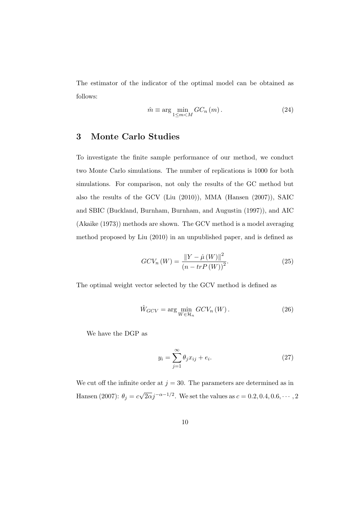The estimator of the indicator of the optimal model can be obtained as follows:

$$
\hat{m} \equiv \arg\min_{1 \le m < M} GC_n\left(m\right). \tag{24}
$$

#### **3 Monte Carlo Studies**

To investigate the finite sample performance of our method, we conduct two Monte Carlo simulations. The number of replications is 1000 for both simulations. For comparison, not only the results of the GC method but also the results of the GCV (Liu (2010)), MMA (Hansen (2007)), SAIC and SBIC (Buckland, Burnham, Burnham, and Augustin (1997)), and AIC (Akaike (1973)) methods are shown. The GCV method is a model averaging method proposed by Liu (2010) in an unpublished paper, and is defined as

$$
GCV_n\left(W\right) = \frac{\|Y - \hat{\mu}\left(W\right)\|^2}{\left(n - trP\left(W\right)\right)^2}.\tag{25}
$$

The optimal weight vector selected by the GCV method is defined as

$$
\hat{W}_{GCV} = \arg\min_{W \in \mathcal{H}_n} GCV_n(W). \tag{26}
$$

We have the DGP as

$$
y_i = \sum_{j=1}^{\infty} \theta_j x_{ij} + e_i.
$$
 (27)

We cut off the infinite order at  $j = 30$ . The parameters are determined as in Hansen (2007):  $\theta_j = c$  $\sqrt{2\alpha}j^{-\alpha-1/2}$ . We set the values as  $c = 0.2, 0.4, 0.6, \cdots, 2$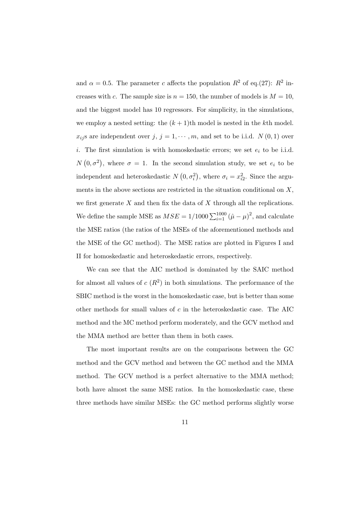and  $\alpha = 0.5$ . The parameter *c* affects the population  $R^2$  of eq.(27):  $R^2$  increases with *c*. The sample size is  $n = 150$ , the number of models is  $M = 10$ , and the biggest model has 10 regressors. For simplicity, in the simulations, we employ a nested setting: the  $(k+1)$ <sup>th</sup> model is nested in the *k*<sup>th</sup> model.  $x_{ij}$ s are independent over  $j, j = 1, \dots, m$ , and set to be i.i.d.  $N(0, 1)$  over *i*. The first simulation is with homoskedastic errors; we set *e<sup>i</sup>* to be i.i.d.  $N(0, \sigma^2)$ , where  $\sigma = 1$ . In the second simulation study, we set  $e_i$  to be independent and heteroskedastic  $N(0, \sigma_i^2)$ , where  $\sigma_i = x_{i2}^2$ . Since the arguments in the above sections are restricted in the situation conditional on *X*, we first generate *X* and then fix the data of *X* through all the replications. We define the sample MSE as  $MSE = 1/1000 \sum_{i=1}^{1000} (\hat{\mu} - \mu)^2$ , and calculate the MSE ratios (the ratios of the MSEs of the aforementioned methods and the MSE of the GC method). The MSE ratios are plotted in Figures I and II for homoskedastic and heteroskedastic errors, respectively.

We can see that the AIC method is dominated by the SAIC method for almost all values of  $c(R^2)$  in both simulations. The performance of the SBIC method is the worst in the homoskedastic case, but is better than some other methods for small values of *c* in the heteroskedastic case. The AIC method and the MC method perform moderately, and the GCV method and the MMA method are better than them in both cases.

The most important results are on the comparisons between the GC method and the GCV method and between the GC method and the MMA method. The GCV method is a perfect alternative to the MMA method; both have almost the same MSE ratios. In the homoskedastic case, these three methods have similar MSEs: the GC method performs slightly worse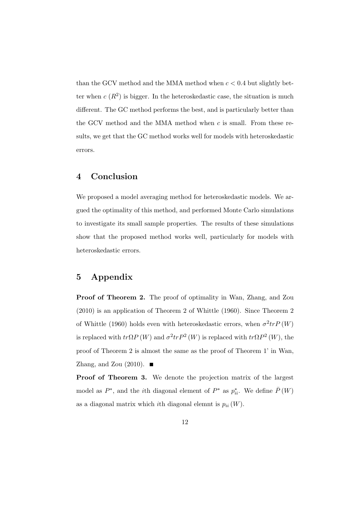than the GCV method and the MMA method when  $c < 0.4$  but slightly better when  $c(R^2)$  is bigger. In the heteroskedastic case, the situation is much different. The GC method performs the best, and is particularly better than the GCV method and the MMA method when *c* is small. From these results, we get that the GC method works well for models with heteroskedastic errors.

#### **4 Conclusion**

We proposed a model averaging method for heteroskedastic models. We argued the optimality of this method, and performed Monte Carlo simulations to investigate its small sample properties. The results of these simulations show that the proposed method works well, particularly for models with heteroskedastic errors.

## **5 Appendix**

**Proof of Theorem 2.** The proof of optimality in Wan, Zhang, and Zou (2010) is an application of Theorem 2 of Whittle (1960). Since Theorem 2 of Whittle (1960) holds even with heteroskedastic errors, when  $\sigma^2 tr P(W)$ is replaced with  $tr\Omega P(W)$  and  $\sigma^2 tr P^2(W)$  is replaced with  $tr\Omega P^2(W)$ , the proof of Theorem 2 is almost the same as the proof of Theorem 1' in Wan, Zhang, and Zou (2010).  $\blacksquare$ 

**Proof of Theorem 3.** We denote the projection matrix of the largest model as  $P^*$ , and the *i*<sup>th</sup> diagonal element of  $P^*$  as  $p_{ii}^*$ . We define  $\overline{P}(W)$ as a diagonal matrix which *i*th diagonal elemnt is  $p_{ii}(W)$ .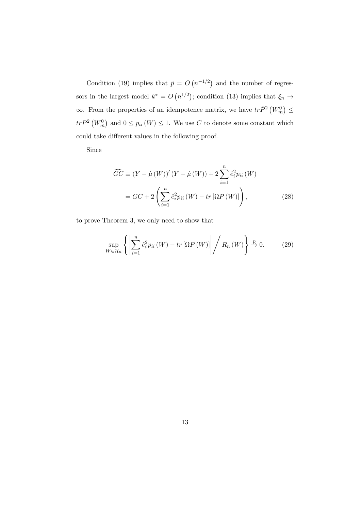Condition (19) implies that  $\tilde{p} = O(n^{-1/2})$  and the number of regressors in the largest model  $k^* = O(n^{1/2})$ ; condition (13) implies that  $\xi_n \to$  $\infty$ . From the properties of an idempotence matrix, we have  $tr\bar{P}^2\left(W_m^0\right)$  ≤  $tr P^2 (W_m^0)$  and  $0 \leq p_{ii}(W) \leq 1$ . We use *C* to denote some constant which could take different values in the following proof.

Since

$$
\widehat{GC} \equiv (Y - \hat{\mu}(W))'(Y - \hat{\mu}(W)) + 2\sum_{i=1}^{n} \hat{e}_i^2 p_{ii}(W)
$$

$$
= GC + 2\left(\sum_{i=1}^{n} \hat{e}_i^2 p_{ii}(W) - tr\left[\Omega P(W)\right]\right), \tag{28}
$$

to prove Theorem 3, we only need to show that

$$
\sup_{W \in \mathcal{H}_n} \left\{ \left| \sum_{i=1}^n \hat{e}_i^2 p_{ii}(W) - tr \left[ \Omega P\left( W \right) \right] \right| \middle/ R_n(W) \right\} \xrightarrow{p} 0. \tag{29}
$$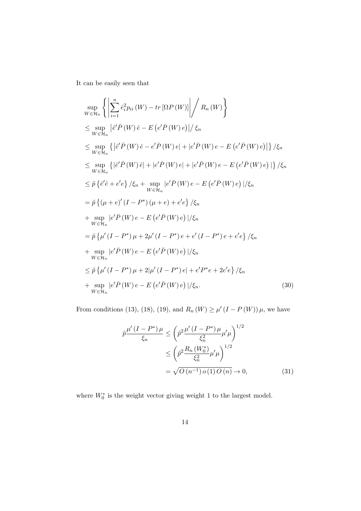It can be easily seen that

$$
\sup_{W \in \mathcal{H}_n} \left\{ \left| \sum_{i=1}^n \hat{e}_i^2 p_{ii}(W) - tr \left[ \Omega P(W) \right] \right| / R_n(W) \right\}
$$
\n
$$
\leq \sup_{W \in \mathcal{H}_n} \left| \hat{e}' \overline{P}(W) \hat{e} - E \left( e' \overline{P}(W) e \right) \right| / \xi_n
$$
\n
$$
\leq \sup_{W \in \mathcal{H}_n} \left\{ \left| \hat{e}' \overline{P}(W) \hat{e} - e' \overline{P}(W) e \right| + \left| e' \overline{P}(W) e - E \left( e' \overline{P}(W) e \right) \right| \right\} / \xi_n
$$
\n
$$
\leq \sup_{W \in \mathcal{H}_n} \left\{ \left| \hat{e}' \overline{P}(W) \hat{e} \right| + \left| e' \overline{P}(W) e \right| + \left| e' \overline{P}(W) e - E \left( e' \overline{P}(W) e \right) \right| \right\} / \xi_n
$$
\n
$$
\leq \tilde{p} \left\{ \hat{e}' \hat{e} + e' e \right\} / \xi_n + \sup_{W \in \mathcal{H}_n} \left| e' \overline{P}(W) e - E \left( e' \overline{P}(W) e \right) \right| / \xi_n
$$
\n
$$
= \tilde{p} \left\{ \left( \mu + e \right)' (I - P^*) \left( \mu + e \right) + e' e \right\} / \xi_n
$$
\n
$$
+ \sup_{W \in \mathcal{H}_n} \left| e' \overline{P}(W) e - E \left( e' \overline{P}(W) e \right) \right| / \xi_n
$$
\n
$$
= \tilde{p} \left\{ \mu'(I - P^*) \mu + 2\mu'(I - P^*) e + e'(I - P^*) e + e' e \right\} / \xi_n
$$
\n
$$
+ \sup_{W \in \mathcal{H}_n} \left| e' \overline{P}(W) e - E \left( e' \overline{P}(W) e \right) \right| / \xi_n
$$
\n
$$
\leq \tilde{p} \left\{ \mu'(I - P^*) \mu + 2|\mu'(I
$$

From conditions (13), (18), (19), and  $R_n(W) \ge \mu'(I - P(W)) \mu$ , we have

$$
\tilde{p}\frac{\mu'(I - P^*)\mu}{\xi_n} \le \left(\tilde{p}^2 \frac{\mu'(I - P^*)\mu}{\xi_n^2}\mu'\mu\right)^{1/2} \le \left(\tilde{p}^2 \frac{R_n(W_0^*)}{\xi_n^2}\mu'\mu\right)^{1/2} \le \sqrt{O(n^{-1}) o(1) O(n)} \to 0,
$$
\n(31)

where  $W_0^*$  is the weight vector giving weight 1 to the largest model.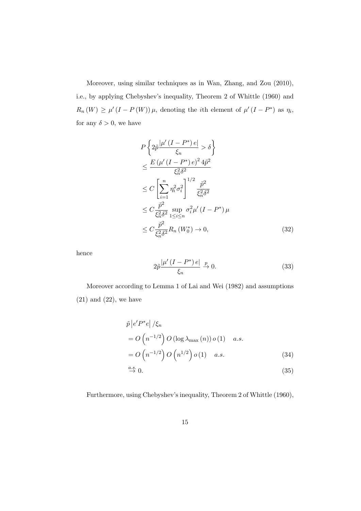Moreover, using similar techniques as in Wan, Zhang, and Zou (2010), i.e., by applying Chebyshev's inequality, Theorem 2 of Whittle (1960) and  $R_n(W) \ge \mu'(I - P(W)) \mu$ , denoting the *i*th element of  $\mu'(I - P^*)$  as  $\eta_i$ , for any  $\delta > 0$ , we have

$$
P\left\{2\tilde{p}\frac{|\mu'(I-P^*)e|}{\xi_n} > \delta\right\}
$$
  
\n
$$
\leq \frac{E(\mu'(I-P^*)e)^2 4\tilde{p}^2}{\xi_n^2 \delta^2}
$$
  
\n
$$
\leq C\left[\sum_{i=1}^n \eta_i^2 \sigma_i^2\right]^{1/2} \frac{\tilde{p}^2}{\xi_n^2 \delta^2}
$$
  
\n
$$
\leq C\frac{\tilde{p}^2}{\xi_n^2 \delta^2} \sup_{1 \leq i \leq n} \sigma_i^2 \mu'(I-P^*) \mu
$$
  
\n
$$
\leq C\frac{\tilde{p}^2}{\xi_n^2 \delta^2} R_n(W_0^*) \to 0,
$$
\n(32)

hence

$$
2\tilde{p}\frac{|\mu'(I - P^*)e|}{\xi_n} \xrightarrow{p} 0. \tag{33}
$$

Moreover according to Lemma 1 of Lai and Wei (1982) and assumptions  $(21)$  and  $(22)$ , we have

$$
\tilde{p} |e'P^*e| / \xi_n
$$
\n
$$
= O\left(n^{-1/2}\right) O\left(\log \lambda_{\max}(n)\right) o\left(1\right) \quad a.s.
$$
\n
$$
= O\left(n^{-1/2}\right) O\left(n^{1/2}\right) o\left(1\right) \quad a.s.
$$
\n(34)

$$
\stackrel{a.s.}{\rightarrow} 0. \tag{35}
$$

Furthermore, using Chebyshev's inequality, Theorem 2 of Whittle (1960),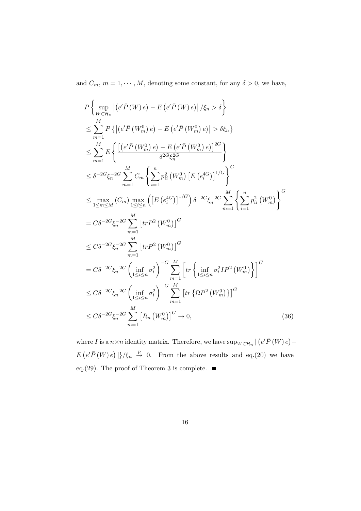and  $C_m$ ,  $m = 1, \dots, M$ , denoting some constant, for any  $\delta > 0$ , we have,

$$
P\left\{\sup_{W\in\mathcal{H}_{n}} |(e'\bar{P}(W)e) - E(e'\bar{P}(W)e)|/\xi_{n} > \delta\right\}
$$
  
\n
$$
\leq \sum_{m=1}^{M} P\left\{|(e'\bar{P}(W_{m}^{0})e) - E(e'\bar{P}(W_{m}^{0})e)| > \delta\xi_{n}\right\}
$$
  
\n
$$
\leq \sum_{m=1}^{M} E\left\{\frac{[(e'\bar{P}(W_{m}^{0})e) - E(e'\bar{P}(W_{m}^{0})e)]^{2G}}{\delta^{2G}\xi_{n}^{2G}}\right\}
$$
  
\n
$$
\leq \delta^{-2G}\xi_{n}^{-2G} \sum_{m=1}^{M} C_{m} \left\{\sum_{i=1}^{n} p_{ii}^{2} (W_{m}^{0}) \left[E(e_{i}^{4G})\right]^{1/G}\right\}^{G}
$$
  
\n
$$
\leq \max_{1\leq m\leq M} (C_{m}) \max_{1\leq i\leq n} \left([E(e_{i}^{4G})]^{1/G}\right) \delta^{-2G}\xi_{n}^{-2G} \sum_{m=1}^{M} \left\{\sum_{i=1}^{n} p_{ii}^{2} (W_{m}^{0})\right\}^{G}
$$
  
\n
$$
= C\delta^{-2G}\xi_{n}^{-2G} \sum_{m=1}^{M} [tr\bar{P}^{2}(W_{m}^{0})]^{G}
$$
  
\n
$$
\leq C\delta^{-2G}\xi_{n}^{-2G} \sum_{m=1}^{M} [trP^{2}(W_{m}^{0})]^{G}
$$
  
\n
$$
= C\delta^{-2G}\xi_{n}^{-2G} \left(\inf_{1\leq i\leq n} \sigma_{i}^{2}\right)^{-G} \sum_{m=1}^{M} \left[tr\left\{\inf_{1\leq i\leq n} \sigma_{i}^{2} I P^{2}(W_{m}^{0})\right\}\right]^{G}
$$
  
\n
$$
\leq C\delta^{-2G}\xi_{n}^{-2G} \left(\inf_{1\leq i\leq n} \sigma_{i}^{2}\right)^{-G} \sum_{m=1}^{M} [tr\left\{\Omega P^{2}(W_{m}^{0})\right\}^{G}
$$
  
\n
$$
\leq C\delta^{-
$$

where *I* is a  $n \times n$  identity matrix. Therefore, we have  $\sup_{W \in \mathcal{H}_n} | (e' \overline{P}(W) e) E(e^{\prime} \overline{P}(W) e)$  |  $\}/\xi_n \stackrel{p}{\rightarrow} 0$ . From the above results and eq.(20) we have eq.(29). The proof of Theorem 3 is complete.  $\blacksquare$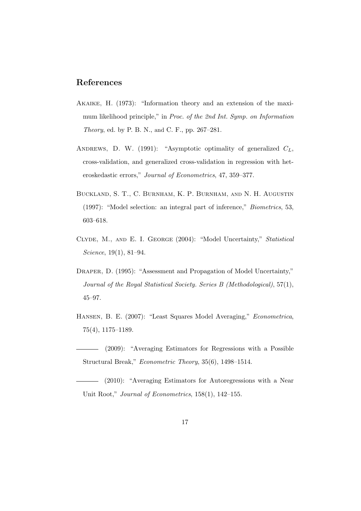### **References**

- Akaike, H. (1973): "Information theory and an extension of the maximum likelihood principle," in *Proc. of the 2nd Int. Symp. on Information Theory*, ed. by P. B. N., and C. F., pp. 267–281.
- ANDREWS, D. W. (1991): "Asymptotic optimality of generalized  $C_L$ , cross-validation, and generalized cross-validation in regression with heteroskedastic errors," *Journal of Econometrics*, 47, 359–377.
- Buckland, S. T., C. Burnham, K. P. Burnham, and N. H. Augustin (1997): "Model selection: an integral part of inference," *Biometrics*, 53, 603–618.
- Clyde, M., and E. I. George (2004): "Model Uncertainty," *Statistical Science*, 19(1), 81–94.
- DRAPER, D. (1995): "Assessment and Propagation of Model Uncertainty," *Journal of the Royal Statistical Society. Series B (Methodological)*, 57(1), 45–97.
- Hansen, B. E. (2007): "Least Squares Model Averaging," *Econometrica*, 75(4), 1175–1189.
- (2009): "Averaging Estimators for Regressions with a Possible Structural Break," *Econometric Theory*, 35(6), 1498–1514.
- (2010): "Averaging Estimators for Autoregressions with a Near Unit Root," *Journal of Econometrics*, 158(1), 142–155.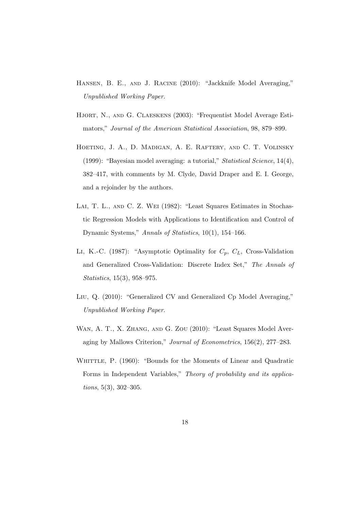- Hansen, B. E., and J. Racine (2010): "Jackknife Model Averaging," *Unpublished Working Paper*.
- HJORT, N., AND G. CLAESKENS (2003): "Frequentist Model Average Estimators," *Journal of the American Statistical Association*, 98, 879–899.
- Hoeting, J. A., D. Madigan, A. E. Raftery, and C. T. Volinsky (1999): "Bayesian model averaging: a tutorial," *Statistical Science*, 14(4), 382–417, with comments by M. Clyde, David Draper and E. I. George, and a rejoinder by the authors.
- Lai, T. L., and C. Z. Wei (1982): "Least Squares Estimates in Stochastic Regression Models with Applications to Identification and Control of Dynamic Systems," *Annals of Statistics*, 10(1), 154–166.
- Li, K.-C. (1987): "Asymptotic Optimality for *Cp*, *CL*, Cross-Validation and Generalized Cross-Validation: Discrete Index Set," *The Annals of Statistics*, 15(3), 958–975.
- Liu, Q. (2010): "Generalized CV and Generalized Cp Model Averaging," *Unpublished Working Paper*.
- Wan, A. T., X. Zhang, and G. Zou (2010): "Least Squares Model Averaging by Mallows Criterion," *Journal of Econometrics*, 156(2), 277–283.
- WHITTLE, P. (1960): "Bounds for the Moments of Linear and Quadratic Forms in Independent Variables," *Theory of probability and its applications*, 5(3), 302–305.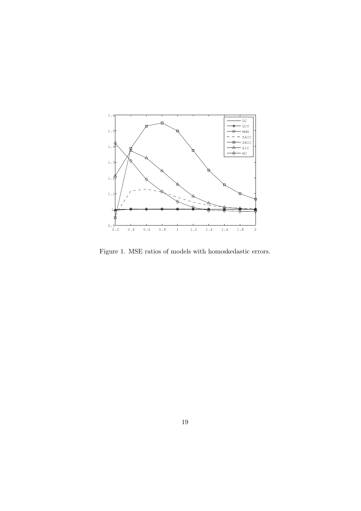

Figure 1. MSE ratios of models with homoskedastic errors.